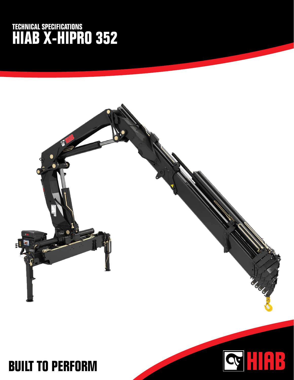## **TECHNICAL SPECIFICATIONS HIAB X-HIPRO 352**



QUIRE

## **BUILT TO PERFORM**